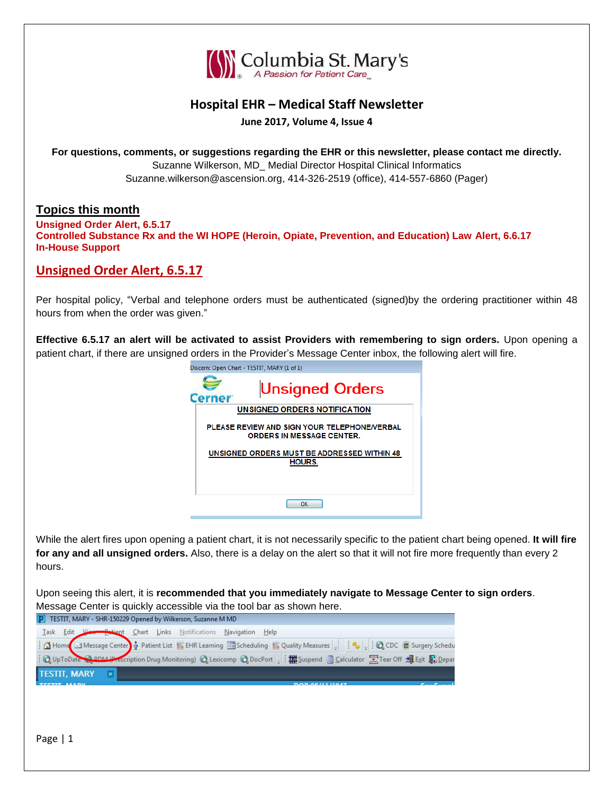

## **Hospital EHR – Medical Staff Newsletter**

**June 2017, Volume 4, Issue 4**

**For questions, comments, or suggestions regarding the EHR or this newsletter, please contact me directly.** Suzanne Wilkerson, MD\_ Medial Director Hospital Clinical Informatics Suzanne.wilkerson@ascension.org, 414-326-2519 (office), 414-557-6860 (Pager)

### **Topics this month**

**Unsigned Order Alert, 6.5.17 Controlled Substance Rx and the WI HOPE (Heroin, Opiate, Prevention, and Education) Law Alert, 6.6.17 In-House Support**

## **Unsigned Order Alert, 6.5.17**

Per hospital policy, "Verbal and telephone orders must be authenticated (signed)by the ordering practitioner within 48 hours from when the order was given."

**Effective 6.5.17 an alert will be activated to assist Providers with remembering to sign orders.** Upon opening a patient chart, if there are unsigned orders in the Provider's Message Center inbox, the following alert will fire. Disserv Open Chart TESTIT MARY (1 of 1)

| Discent, Open Chart - TESTIT, MART (I OFI)                                       |
|----------------------------------------------------------------------------------|
| <b>Unsigned Orders</b>                                                           |
| UNSIGNED ORDERS NOTIFICATION                                                     |
|                                                                                  |
| PLEASE REVIEW AND SIGN YOUR TELEPHONE/VERBAL<br><b>ORDERS IN MESSAGE CENTER.</b> |
| UNSIGNED ORDERS MUST BE ADDRESSED WITHIN 48                                      |
|                                                                                  |
| HOURS.                                                                           |
|                                                                                  |
|                                                                                  |
|                                                                                  |
|                                                                                  |
| ΩK                                                                               |
|                                                                                  |

While the alert fires upon opening a patient chart, it is not necessarily specific to the patient chart being opened. **It will fire for any and all unsigned orders.** Also, there is a delay on the alert so that it will not fire more frequently than every 2 hours.

Upon seeing this alert, it is **recommended that you immediately navigate to Message Center to sign orders**. Message Center is quickly accessible via the tool bar as shown here.

| P TESTIT, MARY - SHR-150229 Opened by Wilkerson, Suzanne M MD                                                                                                                                                                     |                       |  |
|-----------------------------------------------------------------------------------------------------------------------------------------------------------------------------------------------------------------------------------|-----------------------|--|
|                                                                                                                                                                                                                                   |                       |  |
| Lask Edit View Prijent Chart Links Notifications Navigation Help<br>: A Home J Message Center & Patient List<br>: Q UpToDate Q DDM Prescription Drug Monitoring) Q Lexicomp Q DocPort = : # Suspend B Calculator X Tear Off H Exi |                       |  |
|                                                                                                                                                                                                                                   |                       |  |
| <b>TESTIT, MARY</b>                                                                                                                                                                                                               |                       |  |
| TECTIT HABY                                                                                                                                                                                                                       | <b>DOD-00/11/1047</b> |  |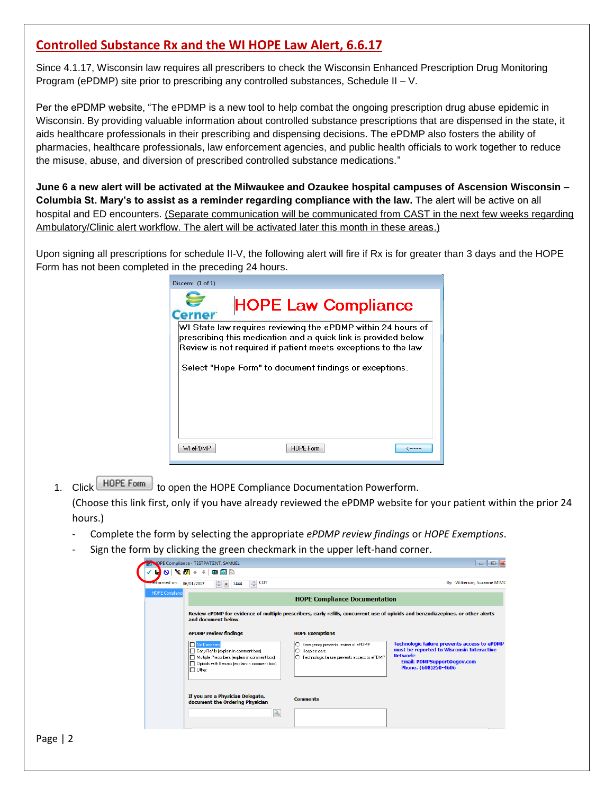# **Controlled Substance Rx and the WI HOPE Law Alert, 6.6.17**

Since 4.1.17, Wisconsin law requires all prescribers to check the Wisconsin Enhanced Prescription Drug Monitoring Program (ePDMP) site prior to prescribing any controlled substances, Schedule II – V.

Per the ePDMP website, "The ePDMP is a new tool to help combat the ongoing prescription drug abuse epidemic in Wisconsin. By providing valuable information about controlled substance prescriptions that are dispensed in the state, it aids healthcare professionals in their prescribing and dispensing decisions. The ePDMP also fosters the ability of pharmacies, healthcare professionals, law enforcement agencies, and public health officials to work together to reduce the misuse, abuse, and diversion of prescribed controlled substance medications."

**June 6 a new alert will be activated at the Milwaukee and Ozaukee hospital campuses of Ascension Wisconsin – Columbia St. Mary's to assist as a reminder regarding compliance with the law.** The alert will be active on all hospital and ED encounters. (Separate communication will be communicated from CAST in the next few weeks regarding Ambulatory/Clinic alert workflow. The alert will be activated later this month in these areas.)

Upon signing all prescriptions for schedule II-V, the following alert will fire if Rx is for greater than 3 days and the HOPE Form has not been completed in the preceding 24 hours.

| Discern: (1 of 1)                                                                                                                                                                                 |
|---------------------------------------------------------------------------------------------------------------------------------------------------------------------------------------------------|
| <b>HOPE Law Compliance</b>                                                                                                                                                                        |
| WI State law requires reviewing the ePDMP within 24 hours of<br>prescribing this medication and a quick link is provided below.<br>Review is not required if patient meets exceptions to the law. |
| Select "Hope Form" to document findings or exceptions.                                                                                                                                            |
|                                                                                                                                                                                                   |
|                                                                                                                                                                                                   |
| HOPE Form<br>WI ePDMP<br><u>(………</u>                                                                                                                                                              |

1. Click HOPE Form to open the HOPE Compliance Documentation Powerform.

(Choose this link first, only if you have already reviewed the ePDMP website for your patient within the prior 24 hours.)

- Complete the form by selecting the appropriate *ePDMP review findings* or *HOPE Exemptions*.
- Sign the form by clicking the green checkmark in the upper left-hand corner.

| refformed on:          | 후<br><b>CDT</b><br>$\frac{2}{3}$ - 1444<br>06/01/2017                                                                                                                   |                                                                                                                 | By: Wilkerson, Suzanne M MD                                                                                                                                         |
|------------------------|-------------------------------------------------------------------------------------------------------------------------------------------------------------------------|-----------------------------------------------------------------------------------------------------------------|---------------------------------------------------------------------------------------------------------------------------------------------------------------------|
| <b>HOPE Compliance</b> |                                                                                                                                                                         | <b>HOPE Compliance Documentation</b>                                                                            |                                                                                                                                                                     |
|                        | and document below.                                                                                                                                                     |                                                                                                                 | Review ePDMP for evidence of multiple prescribers, early refills, concurrent use of opioids and benzodiazepines, or other alerts                                    |
|                        | ePDMP review findings                                                                                                                                                   | <b>HOPE Exemptions</b>                                                                                          |                                                                                                                                                                     |
|                        | No Concerns<br>Early Refills (explain in comment box)<br>Multiple Prescribers (explain in comment box)<br>Opioids with Benzos fexplain in comment box)<br>$\Box$ Other: | Emergency prevents review of ePDMP<br>IO<br>ဂ<br>Hospice care<br>O Technologic failure prevents access to ePDMP | Technologic failure prevents access to ePDMP<br>must be reported to Wisconsin Interactive<br>Network:<br><b>Email: PDMPSupport@egov.com</b><br>Phone: (608)250-4606 |
|                        | If you are a Physician Delegate,<br>document the Ordering Physician<br>Q                                                                                                | <b>Comments</b>                                                                                                 |                                                                                                                                                                     |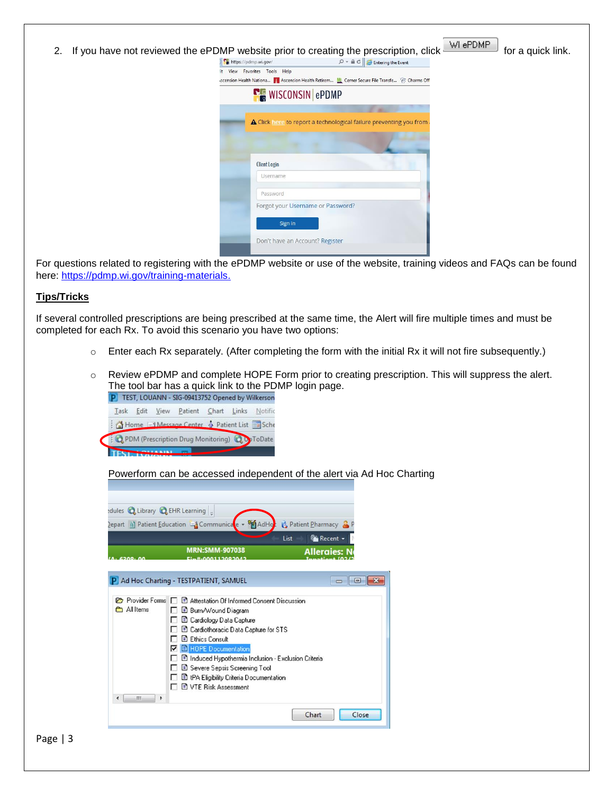| https://pdmp.wi.gov/         | $\mathcal{P}$ + $\mathbf{a}$ $\mathbf{c}$ $\mathbf{c}$ Entering the Event                     |  |
|------------------------------|-----------------------------------------------------------------------------------------------|--|
| it View Favorites Tools Help |                                                                                               |  |
|                              | scension Health Nationa   Ascension Health Retirem Mi Cerner Secure File Transfe @ Charms Off |  |
|                              | <b>E</b> WISCONSIN ePDMP                                                                      |  |
|                              |                                                                                               |  |
|                              | A Click here to report a technological failure preventing you from                            |  |
|                              |                                                                                               |  |
|                              |                                                                                               |  |
| <b>Client Login</b>          |                                                                                               |  |
|                              |                                                                                               |  |
| Username                     |                                                                                               |  |
|                              |                                                                                               |  |
| Password                     |                                                                                               |  |
|                              | Forgot your Username or Password?                                                             |  |
|                              |                                                                                               |  |
| Sign in                      |                                                                                               |  |

For questions related to registering with the ePDMP website or use of the website, training videos and FAQs can be found here: [https://pdmp.wi.gov/training-materials.](https://pdmp.wi.gov/training-materials)

#### **Tips/Tricks**

If several controlled prescriptions are being prescribed at the same time, the Alert will fire multiple times and must be completed for each Rx. To avoid this scenario you have two options:

- o Enter each Rx separately. (After completing the form with the initial Rx it will not fire subsequently.)
- o Review ePDMP and complete HOPE Form prior to creating prescription. This will suppress the alert. The tool bar has a quick link to the PDMP login page.<br>[P] TEST, LOUANN - SIG-09413752 Opened by Wilkerson



Powerform can be accessed independent of the alert via Ad Hoc Charting

|                  | edules & Library & EHR Learning                                    |                      |  |
|------------------|--------------------------------------------------------------------|----------------------|--|
|                  | <b>AdHo</b><br><b>Depart</b> a) Patient Education La Communicate v | Patient Pharmacy & P |  |
|                  | <b>Fai</b> Recent -<br>List                                        |                      |  |
|                  | <b>MRN:SMM-907038</b>                                              | <b>Alleraies: N</b>  |  |
| 6200.6           |                                                                    |                      |  |
|                  |                                                                    |                      |  |
|                  | Ad Hoc Charting - TESTPATIENT, SAMUEL                              | $\blacksquare$       |  |
| Provider Forms I | Attestation Of Informed Consent Discussion                         |                      |  |
| All Items        | B Burn/Wound Diagram                                               |                      |  |
|                  | Cardiology Data Capture                                            |                      |  |
|                  | El Cardiothoracic Data Capture for STS                             |                      |  |
|                  | <b>E</b> Ethics Consult                                            |                      |  |
|                  | <b>B</b> HOPE Documentation                                        |                      |  |
|                  | Il Induced Hypothermia Inclusion - Exclusion Criteria              |                      |  |
|                  | Severe Sepsis Screening Tool                                       |                      |  |
|                  | B tPA Eligibility Criteria Documentation                           |                      |  |
|                  | <b>El VTE Risk Assessment</b>                                      |                      |  |
|                  |                                                                    |                      |  |

Page | 3